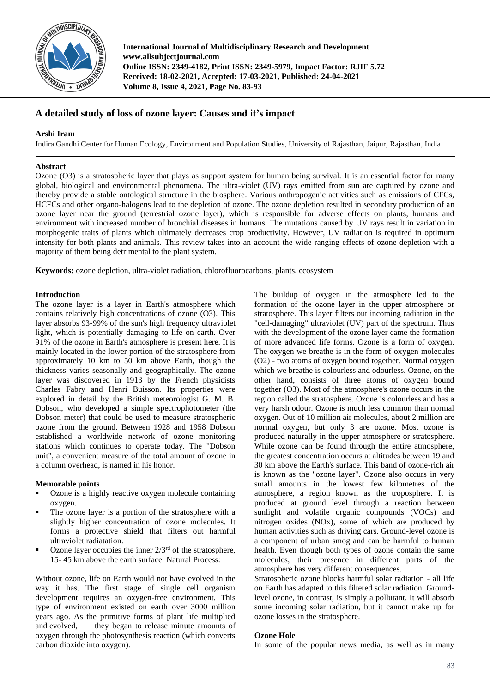

**International Journal of Multidisciplinary Research and Development www.allsubjectjournal.com Online ISSN: 2349-4182, Print ISSN: 2349-5979, Impact Factor: RJIF 5.72 Received: 18-02-2021, Accepted: 17-03-2021, Published: 24-04-2021 Volume 8, Issue 4, 2021, Page No. 83-93**

# **A detailed study of loss of ozone layer: Causes and it's impact**

# **Arshi Iram**

Indira Gandhi Center for Human Ecology, Environment and Population Studies, University of Rajasthan, Jaipur, Rajasthan, India

# **Abstract**

Ozone (O3) is a stratospheric layer that plays as support system for human being survival. It is an essential factor for many global, biological and environmental phenomena. The ultra-violet (UV) rays emitted from sun are captured by ozone and thereby provide a stable ontological structure in the biosphere. Various anthropogenic activities such as emissions of CFCs, HCFCs and other organo-halogens lead to the depletion of ozone. The ozone depletion resulted in secondary production of an ozone layer near the ground (terrestrial ozone layer), which is responsible for adverse effects on plants, humans and environment with increased number of bronchial diseases in humans. The mutations caused by UV rays result in variation in morphogenic traits of plants which ultimately decreases crop productivity. However, UV radiation is required in optimum intensity for both plants and animals. This review takes into an account the wide ranging effects of ozone depletion with a majority of them being detrimental to the plant system.

**Keywords:** ozone depletion, ultra-violet radiation, chlorofluorocarbons, plants, ecosystem

# **Introduction**

The ozone layer is a layer in Earth's atmosphere which contains relatively high concentrations of ozone (O3). This layer absorbs 93-99% of the sun's high frequency ultraviolet light, which is potentially damaging to life on earth. Over 91% of the ozone in Earth's atmosphere is present here. It is mainly located in the lower portion of the stratosphere from approximately 10 km to 50 km above Earth, though the thickness varies seasonally and geographically. The ozone layer was discovered in 1913 by the French physicists Charles Fabry and Henri Buisson. Its properties were explored in detail by the British meteorologist G. M. B. Dobson, who developed a simple spectrophotometer (the Dobson meter) that could be used to measure stratospheric ozone from the ground. Between 1928 and 1958 Dobson established a worldwide network of ozone monitoring stations which continues to operate today. The "Dobson unit", a convenient measure of the total amount of ozone in a column overhead, is named in his honor.

# **Memorable points**

- Ozone is a highly reactive oxygen molecule containing oxygen.
- The ozone layer is a portion of the stratosphere with a slightly higher concentration of ozone molecules. It forms a protective shield that filters out harmful ultraviolet radiatation.
- Ozone layer occupies the inner  $2/3^{rd}$  of the stratosphere, 15- 45 km above the earth surface. Natural Process:

Without ozone, life on Earth would not have evolved in the way it has. The first stage of single cell organism development requires an oxygen-free environment. This type of environment existed on earth over 3000 million years ago. As the primitive forms of plant life multiplied and evolved, they began to release minute amounts of oxygen through the photosynthesis reaction (which converts carbon dioxide into oxygen).

The buildup of oxygen in the atmosphere led to the formation of the ozone layer in the upper atmosphere or stratosphere. This layer filters out incoming radiation in the "cell-damaging" ultraviolet (UV) part of the spectrum. Thus with the development of the ozone layer came the formation of more advanced life forms. Ozone is a form of oxygen. The oxygen we breathe is in the form of oxygen molecules (O2) - two atoms of oxygen bound together. Normal oxygen which we breathe is colourless and odourless. Ozone, on the other hand, consists of three atoms of oxygen bound together (O3). Most of the atmosphere's ozone occurs in the region called the stratosphere. Ozone is colourless and has a very harsh odour. Ozone is much less common than normal oxygen. Out of 10 million air molecules, about 2 million are normal oxygen, but only 3 are ozone. Most ozone is produced naturally in the upper atmosphere or stratosphere. While ozone can be found through the entire atmosphere, the greatest concentration occurs at altitudes between 19 and 30 km above the Earth's surface. This band of ozone-rich air is known as the "ozone layer". Ozone also occurs in very small amounts in the lowest few kilometres of the atmosphere, a region known as the troposphere. It is produced at ground level through a reaction between sunlight and volatile organic compounds (VOCs) and nitrogen oxides (NOx), some of which are produced by human activities such as driving cars. Ground-level ozone is a component of urban smog and can be harmful to human health. Even though both types of ozone contain the same molecules, their presence in different parts of the atmosphere has very different consequences.

Stratospheric ozone blocks harmful solar radiation - all life on Earth has adapted to this filtered solar radiation. Groundlevel ozone, in contrast, is simply a pollutant. It will absorb some incoming solar radiation, but it cannot make up for ozone losses in the stratosphere.

# **Ozone Hole**

In some of the popular news media, as well as in many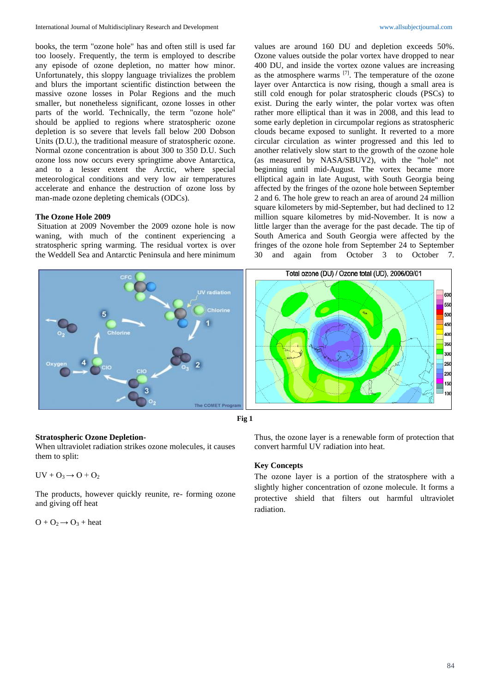books, the term "ozone hole" has and often still is used far too loosely. Frequently, the term is employed to describe any episode of ozone depletion, no matter how minor. Unfortunately, this sloppy language trivializes the problem and blurs the important scientific distinction between the massive ozone losses in Polar Regions and the much smaller, but nonetheless significant, ozone losses in other parts of the world. Technically, the term "ozone hole" should be applied to regions where stratospheric ozone depletion is so severe that levels fall below 200 Dobson Units (D.U.), the traditional measure of stratospheric ozone. Normal ozone concentration is about 300 to 350 D.U. Such ozone loss now occurs every springtime above Antarctica, and to a lesser extent the Arctic, where special meteorological conditions and very low air temperatures accelerate and enhance the destruction of ozone loss by man-made ozone depleting chemicals (ODCs).

## **The Ozone Hole 2009**

Situation at 2009 November the 2009 ozone hole is now waning, with much of the continent experiencing a stratospheric spring warming. The residual vortex is over the Weddell Sea and Antarctic Peninsula and here minimum

values are around 160 DU and depletion exceeds 50%. Ozone values outside the polar vortex have dropped to near 400 DU, and inside the vortex ozone values are increasing as the atmosphere warms  $^{[7]}$ . The temperature of the ozone layer over Antarctica is now rising, though a small area is still cold enough for polar stratospheric clouds (PSCs) to exist. During the early winter, the polar vortex was often rather more elliptical than it was in 2008, and this lead to some early depletion in circumpolar regions as stratospheric clouds became exposed to sunlight. It reverted to a more circular circulation as winter progressed and this led to another relatively slow start to the growth of the ozone hole (as measured by NASA/SBUV2), with the "hole" not beginning until mid-August. The vortex became more elliptical again in late August, with South Georgia being affected by the fringes of the ozone hole between September 2 and 6. The hole grew to reach an area of around 24 million square kilometers by mid-September, but had declined to 12 million square kilometres by mid-November. It is now a little larger than the average for the past decade. The tip of South America and South Georgia were affected by the fringes of the ozone hole from September 24 to September 30 and again from October 3 to October 7.





## **Stratospheric Ozone Depletion-**

When ultraviolet radiation strikes ozone molecules, it causes them to split:

 $UV + O_3 \rightarrow O + O_2$ 

The products, however quickly reunite, re- forming ozone and giving off heat

 $O + O_2 \rightarrow O_3 + heat$ 

Thus, the ozone layer is a renewable form of protection that convert harmful UV radiation into heat.

## **Key Concepts**

The ozone layer is a portion of the stratosphere with a slightly higher concentration of ozone molecule. It forms a protective shield that filters out harmful ultraviolet radiation.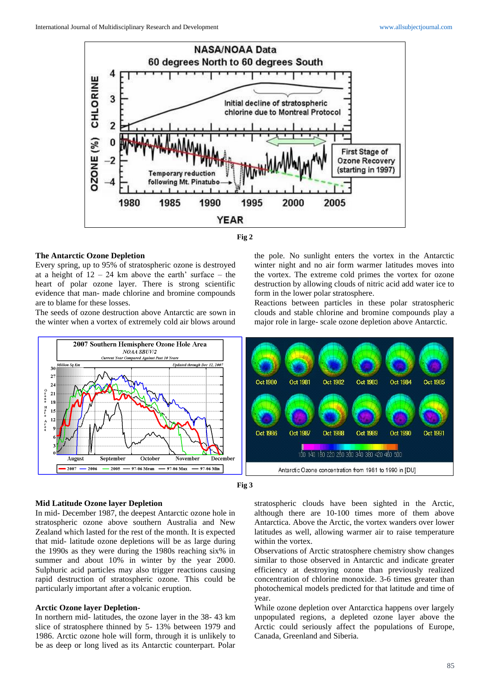



### **The Antarctic Ozone Depletion**

Every spring, up to 95% of stratospheric ozone is destroyed at a height of  $12 - 24$  km above the earth' surface – the heart of polar ozone layer. There is strong scientific evidence that man- made chlorine and bromine compounds are to blame for these losses.

The seeds of ozone destruction above Antarctic are sown in the winter when a vortex of extremely cold air blows around

the pole. No sunlight enters the vortex in the Antarctic winter night and no air form warmer latitudes moves into the vortex. The extreme cold primes the vortex for ozone destruction by allowing clouds of nitric acid add water ice to form in the lower polar stratosphere.

Reactions between particles in these polar stratospheric clouds and stable chlorine and bromine compounds play a major role in large- scale ozone depletion above Antarctic.





### **Mid Latitude Ozone layer Depletion**

In mid- December 1987, the deepest Antarctic ozone hole in stratospheric ozone above southern Australia and New Zealand which lasted for the rest of the month. It is expected that mid- latitude ozone depletions will be as large during the 1990s as they were during the 1980s reaching six% in summer and about 10% in winter by the year 2000. Sulphuric acid particles may also trigger reactions causing rapid destruction of stratospheric ozone. This could be particularly important after a volcanic eruption.

## **Arctic Ozone layer Depletion-**

In northern mid- latitudes, the ozone layer in the 38- 43 km slice of stratosphere thinned by 5- 13% between 1979 and 1986. Arctic ozone hole will form, through it is unlikely to be as deep or long lived as its Antarctic counterpart. Polar

stratospheric clouds have been sighted in the Arctic, although there are 10-100 times more of them above Antarctica. Above the Arctic, the vortex wanders over lower latitudes as well, allowing warmer air to raise temperature within the vortex.

Observations of Arctic stratosphere chemistry show changes similar to those observed in Antarctic and indicate greater efficiency at destroying ozone than previously realized concentration of chlorine monoxide. 3-6 times greater than photochemical models predicted for that latitude and time of year.

While ozone depletion over Antarctica happens over largely unpopulated regions, a depleted ozone layer above the Arctic could seriously affect the populations of Europe, Canada, Greenland and Siberia.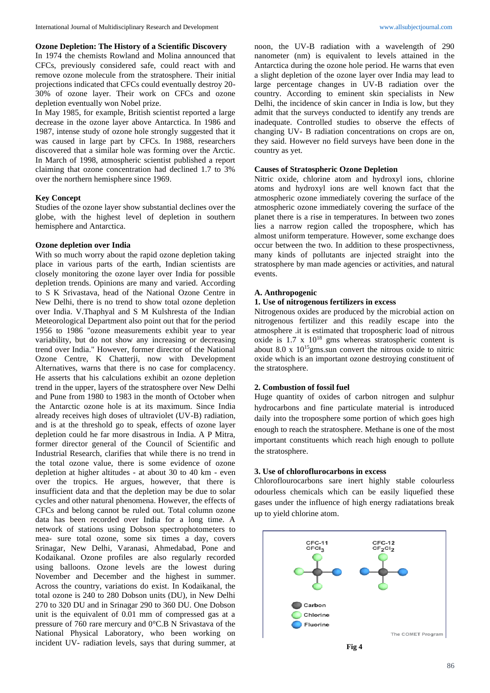### **Ozone Depletion: The History of a Scientific Discovery**

In 1974 the chemists Rowland and Molina announced that CFCs, previously considered safe, could react with and remove ozone molecule from the stratosphere. Their initial projections indicated that CFCs could eventually destroy 20- 30% of ozone layer. Their work on CFCs and ozone depletion eventually won Nobel prize.

In May 1985, for example, British scientist reported a large decrease in the ozone layer above Antarctica. In 1986 and 1987, intense study of ozone hole strongly suggested that it was caused in large part by CFCs. In 1988, researchers discovered that a similar hole was forming over the Arctic. In March of 1998, atmospheric scientist published a report claiming that ozone concentration had declined 1.7 to 3% over the northern hemisphere since 1969.

### **Key Concept**

Studies of the ozone layer show substantial declines over the globe, with the highest level of depletion in southern hemisphere and Antarctica.

### **Ozone depletion over India**

With so much worry about the rapid ozone depletion taking place in various parts of the earth, Indian scientists are closely monitoring the ozone layer over India for possible depletion trends. Opinions are many and varied. According to S K Srivastava, head of the National Ozone Centre in New Delhi, there is no trend to show total ozone depletion over India. V.Thaphyal and S M Kulshresta of the Indian Meteorological Department also point out that for the period 1956 to 1986 "ozone measurements exhibit year to year variability, but do not show any increasing or decreasing trend over India." However, former director of the National Ozone Centre, K Chatterji, now with Development Alternatives, warns that there is no case for complacency. He asserts that his calculations exhibit an ozone depletion trend in the upper, layers of the stratosphere over New Delhi and Pune from 1980 to 1983 in the month of October when the Antarctic ozone hole is at its maximum. Since India already receives high doses of ultraviolet (UV-B) radiation, and is at the threshold go to speak, effects of ozone layer depletion could he far more disastrous in India. A P Mitra, former director general of the Council of Scientific and Industrial Research, clarifies that while there is no trend in the total ozone value, there is some evidence of ozone depletion at higher altitudes - at about 30 to 40 km - even over the tropics. He argues, however, that there is insufficient data and that the depletion may be due to solar cycles and other natural phenomena. However, the effects of CFCs and belong cannot be ruled out. Total column ozone data has been recorded over India for a long time. A network of stations using Dobson spectrophotometers to mea- sure total ozone, some six times a day, covers Srinagar, New Delhi, Varanasi, Ahmedabad, Pone and Kodaikanal. Ozone profiles are also regularly recorded using balloons. Ozone levels are the lowest during November and December and the highest in summer. Across the country, variations do exist. In Kodaikanal, the total ozone is 240 to 280 Dobson units (DU), in New Delhi 270 to 320 DU and in Srinagar 290 to 360 DU. One Dobson unit is the equivalent of 0.01 mm of compressed gas at a pressure of 760 rare mercury and 0°C.B N Srivastava of the National Physical Laboratory, who been working on incident UV- radiation levels, says that during summer, at

noon, the UV-B radiation with a wavelength of 290 nanometer (nm) is equivalent to levels attained in the Antarctica during the ozone hole period. He warns that even a slight depletion of the ozone layer over India may lead to large percentage changes in UV-B radiation over the country. According to eminent skin specialists in New Delhi, the incidence of skin cancer in India is low, but they admit that the surveys conducted to identify any trends are inadequate. Controlled studies to observe the effects of changing UV- B radiation concentrations on crops are on, they said. However no field surveys have been done in the country as yet.

### **Causes of Stratospheric Ozone Depletion**

Nitric oxide, chlorine atom and hydroxyl ions, chlorine atoms and hydroxyl ions are well known fact that the atmospheric ozone immediately covering the surface of the atmospheric ozone immediately covering the surface of the planet there is a rise in temperatures. In between two zones lies a narrow region called the troposphere, which has almost uniform temperature. However, some exchange does occur between the two. In addition to these prospectivness, many kinds of pollutants are injected straight into the stratosphere by man made agencies or activities, and natural events.

## **A. Anthropogenic**

## **1. Use of nitrogenous fertilizers in excess**

Nitrogenous oxides are produced by the microbial action on nitrogenous fertilizer and this readily escape into the atmosphere .it is estimated that tropospheric load of nitrous oxide is  $1.7 \times 10^{18}$  gms whereas stratospheric content is about 8.0 x  $10^{15}$ gms.sun convert the nitrous oxide to nitric oxide which is an important ozone destroying constituent of the stratosphere.

### **2. Combustion of fossil fuel**

Huge quantity of oxides of carbon nitrogen and sulphur hydrocarbons and fine particulate material is introduced daily into the troposphere some portion of which goes high enough to reach the stratosphere. Methane is one of the most important constituents which reach high enough to pollute the stratosphere.

### **3. Use of chloroflurocarbons in excess**

Chloroflourocarbons sare inert highly stable colourless odourless chemicals which can be easily liquefied these gases under the influence of high energy radiatations break up to yield chlorine atom.



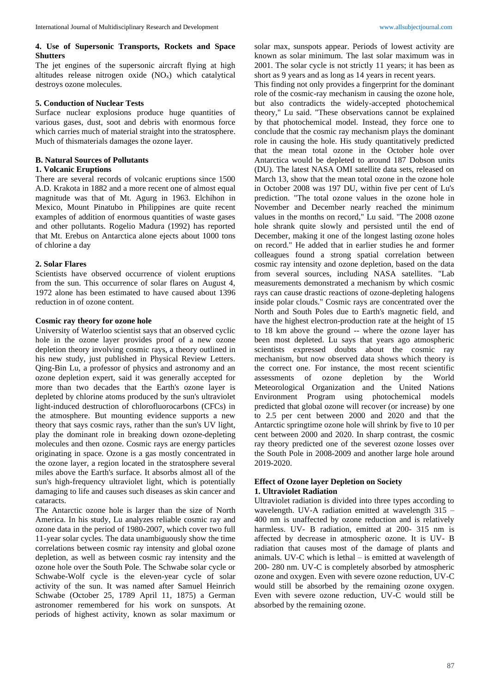## **4. Use of Supersonic Transports, Rockets and Space Shutters**

The jet engines of the supersonic aircraft flying at high altitudes release nitrogen oxide (NOx) which catalytical destroys ozone molecules.

## **5. Conduction of Nuclear Tests**

Surface nuclear explosions produce huge quantities of various gases, dust, soot and debris with enormous force which carries much of material straight into the stratosphere. Much of thismaterials damages the ozone layer.

## **B. Natural Sources of Pollutants**

### **1. Volcanic Eruptions**

There are several records of volcanic eruptions since 1500 A.D. Krakota in 1882 and a more recent one of almost equal magnitude was that of Mt. Agurg in 1963. Elchihon in Mexico, Mount Pinatubo in Philippines are quite recent examples of addition of enormous quantities of waste gases and other pollutants. Rogelio Madura (1992) has reported that Mt. Erebus on Antarctica alone ejects about 1000 tons of chlorine a day

## **2. Solar Flares**

Scientists have observed occurrence of violent eruptions from the sun. This occurrence of solar flares on August 4, 1972 alone has been estimated to have caused about 1396 reduction in of ozone content.

## **Cosmic ray theory for ozone hole**

University of Waterloo scientist says that an observed cyclic hole in the ozone layer provides proof of a new ozone depletion theory involving cosmic rays, a theory outlined in his new study, just published in Physical Review Letters. Qing-Bin Lu, a professor of physics and astronomy and an ozone depletion expert, said it was generally accepted for more than two decades that the Earth's ozone layer is depleted by chlorine atoms produced by the sun's ultraviolet light-induced destruction of chlorofluorocarbons (CFCs) in the atmosphere. But mounting evidence supports a new theory that says cosmic rays, rather than the sun's UV light, play the dominant role in breaking down ozone-depleting molecules and then ozone. Cosmic rays are energy particles originating in space. Ozone is a gas mostly concentrated in the ozone layer, a region located in the stratosphere several miles above the Earth's surface. It absorbs almost all of the sun's high-frequency ultraviolet light, which is potentially damaging to life and causes such diseases as skin cancer and cataracts.

The Antarctic ozone hole is larger than the size of North America. In his study, Lu analyzes reliable cosmic ray and ozone data in the period of 1980-2007, which cover two full 11-year solar cycles. The data unambiguously show the time correlations between cosmic ray intensity and global ozone depletion, as well as between cosmic ray intensity and the ozone hole over the South Pole. The Schwabe solar cycle or Schwabe-Wolf cycle is the eleven-year cycle of solar activity of the sun. It was named after Samuel Heinrich Schwabe (October 25, 1789 April 11, 1875) a German astronomer remembered for his work on sunspots. At periods of highest activity, known as solar maximum or

solar max, sunspots appear. Periods of lowest activity are known as solar minimum. The last solar maximum was in 2001. The solar cycle is not strictly 11 years; it has been as short as 9 years and as long as 14 years in recent years.

This finding not only provides a fingerprint for the dominant role of the cosmic-ray mechanism in causing the ozone hole, but also contradicts the widely-accepted photochemical theory," Lu said. "These observations cannot be explained by that photochemical model. Instead, they force one to conclude that the cosmic ray mechanism plays the dominant role in causing the hole. His study quantitatively predicted that the mean total ozone in the October hole over Antarctica would be depleted to around 187 Dobson units (DU). The latest NASA OMI satellite data sets, released on March 13, show that the mean total ozone in the ozone hole in October 2008 was 197 DU, within five per cent of Lu's prediction. "The total ozone values in the ozone hole in November and December nearly reached the minimum values in the months on record," Lu said. "The 2008 ozone hole shrank quite slowly and persisted until the end of December, making it one of the longest lasting ozone holes on record." He added that in earlier studies he and former colleagues found a strong spatial correlation between cosmic ray intensity and ozone depletion, based on the data from several sources, including NASA satellites. "Lab measurements demonstrated a mechanism by which cosmic rays can cause drastic reactions of ozone-depleting halogens inside polar clouds." Cosmic rays are concentrated over the North and South Poles due to Earth's magnetic field, and have the highest electron-production rate at the height of 15 to 18 km above the ground -- where the ozone layer has been most depleted. Lu says that years ago atmospheric scientists expressed doubts about the cosmic ray mechanism, but now observed data shows which theory is the correct one. For instance, the most recent scientific assessments of ozone depletion by the World Meteorological Organization and the United Nations Environment Program using photochemical models predicted that global ozone will recover (or increase) by one to 2.5 per cent between 2000 and 2020 and that the Antarctic springtime ozone hole will shrink by five to 10 per cent between 2000 and 2020. In sharp contrast, the cosmic ray theory predicted one of the severest ozone losses over the South Pole in 2008-2009 and another large hole around 2019-2020.

# **Effect of Ozone layer Depletion on Society 1. Ultraviolet Radiation**

Ultraviolet radiation is divided into three types according to wavelength. UV-A radiation emitted at wavelength 315 – 400 nm is unaffected by ozone reduction and is relatively harmless. UV- B radiation, emitted at 200- 315 nm is affected by decrease in atmospheric ozone. It is UV- B radiation that causes most of the damage of plants and animals. UV-C which is lethal – is emitted at wavelength of 200- 280 nm. UV-C is completely absorbed by atmospheric ozone and oxygen. Even with severe ozone reduction, UV-C would still be absorbed by the remaining ozone oxygen. Even with severe ozone reduction, UV-C would still be absorbed by the remaining ozone.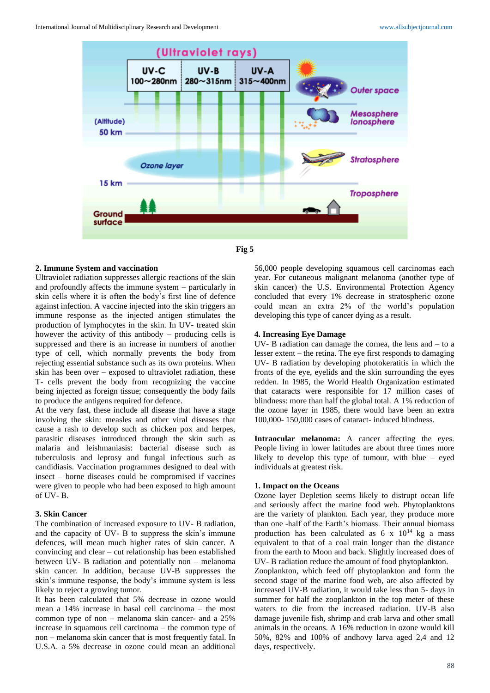



# **2. Immune System and vaccination**

Ultraviolet radiation suppresses allergic reactions of the skin and profoundly affects the immune system – particularly in skin cells where it is often the body's first line of defence against infection. A vaccine injected into the skin triggers an immune response as the injected antigen stimulates the production of lymphocytes in the skin. In UV- treated skin however the activity of this antibody – producing cells is suppressed and there is an increase in numbers of another type of cell, which normally prevents the body from rejecting essential substance such as its own proteins. When skin has been over – exposed to ultraviolet radiation, these T- cells prevent the body from recognizing the vaccine being injected as foreign tissue; consequently the body fails to produce the antigens required for defence.

At the very fast, these include all disease that have a stage involving the skin: measles and other viral diseases that cause a rash to develop such as chicken pox and herpes, parasitic diseases introduced through the skin such as malaria and leishmaniasis: bacterial disease such as tuberculosis and leprosy and fungal infectious such as candidiasis. Vaccination programmes designed to deal with insect – borne diseases could be compromised if vaccines were given to people who had been exposed to high amount of UV- B.

### **3. Skin Cancer**

The combination of increased exposure to UV- B radiation, and the capacity of UV- B to suppress the skin's immune defences, will mean much higher rates of skin cancer. A convincing and clear – cut relationship has been established between UV- B radiation and potentially non – melanoma skin cancer. In addition, because UV-B suppresses the skin's immune response, the body's immune system is less likely to reject a growing tumor.

It has been calculated that 5% decrease in ozone would mean a 14% increase in basal cell carcinoma – the most common type of non – melanoma skin cancer- and a 25% increase in squamous cell carcinoma – the common type of non – melanoma skin cancer that is most frequently fatal. In U.S.A. a 5% decrease in ozone could mean an additional

56,000 people developing squamous cell carcinomas each year. For cutaneous malignant melanoma (another type of skin cancer) the U.S. Environmental Protection Agency concluded that every 1% decrease in stratospheric ozone could mean an extra 2% of the world's population developing this type of cancer dying as a result.

### **4. Increasing Eye Damage**

UV- B radiation can damage the cornea, the lens and – to a lesser extent – the retina. The eye first responds to damaging UV- B radiation by developing photokeratitis in which the fronts of the eye, eyelids and the skin surrounding the eyes redden. In 1985, the World Health Organization estimated that cataracts were responsible for 17 million cases of blindness: more than half the global total. A 1% reduction of the ozone layer in 1985, there would have been an extra 100,000- 150,000 cases of cataract- induced blindness.

Intraocular melanoma: A cancer affecting the eyes. People living in lower latitudes are about three times more likely to develop this type of tumour, with blue – eyed individuals at greatest risk.

### **1. Impact on the Oceans**

Ozone layer Depletion seems likely to distrupt ocean life and seriously affect the marine food web. Phytoplanktons are the variety of plankton. Each year, they produce more than one -half of the Earth's biomass. Their annual biomass production has been calculated as  $6 \times 10^{14}$  kg a mass equivalent to that of a coal train longer than the distance from the earth to Moon and back. Slightly increased does of UV- B radiation reduce the amount of food phytoplankton.

Zooplankton, which feed off phytoplankton and form the second stage of the marine food web, are also affected by increased UV-B radiation, it would take less than 5- days in summer for half the zooplankton in the top meter of these waters to die from the increased radiation. UV-B also damage juvenile fish, shrimp and crab larva and other small animals in the oceans. A 16% reduction in ozone would kill 50%, 82% and 100% of andhovy larva aged 2,4 and 12 days, respectively.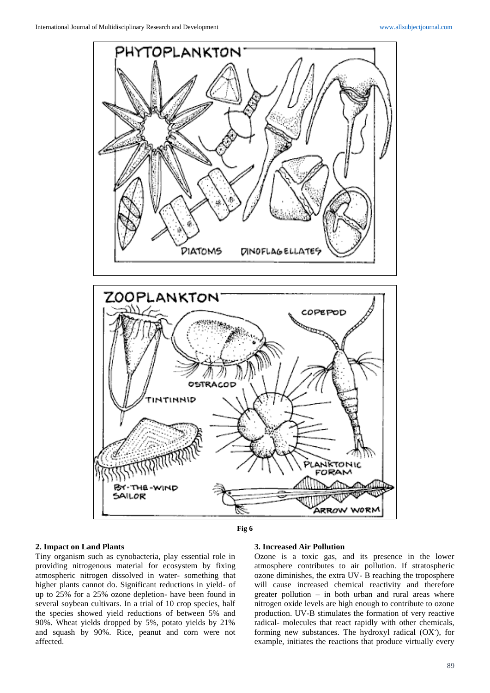

## **Fig 6**

# **2. Impact on Land Plants**

Tiny organism such as cynobacteria, play essential role in providing nitrogenous material for ecosystem by fixing atmospheric nitrogen dissolved in water- something that higher plants cannot do. Significant reductions in yield- of up to 25% for a 25% ozone depletion- have been found in several soybean cultivars. In a trial of 10 crop species, half the species showed yield reductions of between 5% and 90%. Wheat yields dropped by 5%, potato yields by 21% and squash by 90%. Rice, peanut and corn were not affected.

#### **3. Increased Air Pollution**

Ozone is a toxic gas, and its presence in the lower atmosphere contributes to air pollution. If stratospheric ozone diminishes, the extra UV- B reaching the troposphere will cause increased chemical reactivity and therefore greater pollution – in both urban and rural areas where nitrogen oxide levels are high enough to contribute to ozone production. UV-B stimulates the formation of very reactive radical- molecules that react rapidly with other chemicals, forming new substances. The hydroxyl radical (OX- ), for example, initiates the reactions that produce virtually every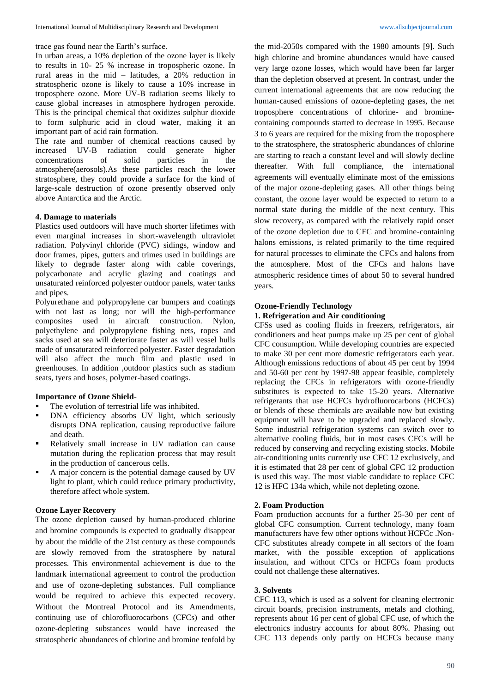trace gas found near the Earth's surface.

In urban areas, a 10% depletion of the ozone layer is likely to results in 10- 25 % increase in tropospheric ozone. In rural areas in the mid – latitudes, a 20% reduction in stratospheric ozone is likely to cause a 10% increase in troposphere ozone. More UV-B radiation seems likely to cause global increases in atmosphere hydrogen peroxide. This is the principal chemical that oxidizes sulphur dioxide to form sulphuric acid in cloud water, making it an important part of acid rain formation.

The rate and number of chemical reactions caused by increased UV-B radiation could generate higher increased UV-B radiation could generate higher concentrations of solid particles in the atmosphere(aerosols).As these particles reach the lower stratosphere, they could provide a surface for the kind of large-scale destruction of ozone presently observed only above Antarctica and the Arctic.

## **4. Damage to materials**

Plastics used outdoors will have much shorter lifetimes with even marginal increases in short-wavelength ultraviolet radiation. Polyvinyl chloride (PVC) sidings, window and door frames, pipes, gutters and trimes used in buildings are likely to degrade faster along with cable coverings, polycarbonate and acrylic glazing and coatings and unsaturated reinforced polyester outdoor panels, water tanks and pipes.

Polyurethane and polypropylene car bumpers and coatings with not last as long; nor will the high-performance composites used in aircraft construction. Nylon, polyethylene and polypropylene fishing nets, ropes and sacks used at sea will deteriorate faster as will vessel hulls made of unsaturated reinforced polyester. Faster degradation will also affect the much film and plastic used in greenhouses. In addition ,outdoor plastics such as stadium seats, tyers and hoses, polymer-based coatings.

### **Importance of Ozone Shield-**

- The evolution of terrestrial life was inhibited.
- DNA efficiency absorbs UV light, which seriously disrupts DNA replication, causing reproductive failure and death.
- Relatively small increase in UV radiation can cause mutation during the replication process that may result in the production of cancerous cells.
- A major concern is the potential damage caused by UV light to plant, which could reduce primary productivity, therefore affect whole system.

### **Ozone Layer Recovery**

The ozone depletion caused by human-produced chlorine and bromine compounds is expected to gradually disappear by about the middle of the 21st century as these compounds are slowly removed from the stratosphere by natural processes. This environmental achievement is due to the landmark international agreement to control the production and use of ozone-depleting substances. Full compliance would be required to achieve this expected recovery. Without the Montreal Protocol and its Amendments, continuing use of chlorofluorocarbons (CFCs) and other ozone-depleting substances would have increased the stratospheric abundances of chlorine and bromine tenfold by

the mid-2050s compared with the 1980 amounts [9]. Such high chlorine and bromine abundances would have caused very large ozone losses, which would have been far larger than the depletion observed at present. In contrast, under the current international agreements that are now reducing the human-caused emissions of ozone-depleting gases, the net troposphere concentrations of chlorine- and brominecontaining compounds started to decrease in 1995. Because 3 to 6 years are required for the mixing from the troposphere to the stratosphere, the stratospheric abundances of chlorine are starting to reach a constant level and will slowly decline thereafter. With full compliance, the international agreements will eventually eliminate most of the emissions of the major ozone-depleting gases. All other things being constant, the ozone layer would be expected to return to a normal state during the middle of the next century. This slow recovery, as compared with the relatively rapid onset of the ozone depletion due to CFC and bromine-containing halons emissions, is related primarily to the time required for natural processes to eliminate the CFCs and halons from the atmosphere. Most of the CFCs and halons have atmospheric residence times of about 50 to several hundred years.

## **Ozone-Friendly Technology 1. Refrigeration and Air conditioning**

CFSs used as cooling fluids in freezers, refrigerators, air conditioners and heat pumps make up 25 per cent of global CFC consumption. While developing countries are expected to make 30 per cent more domestic refrigerators each year. Although emissions reductions of about 45 per cent by 1994 and 50-60 per cent by 1997-98 appear feasible, completely replacing the CFCs in refrigerators with ozone-friendly substitutes is expected to take 15-20 years. Alternative refrigerants that use HCFCs hydrofluorocarbons (HCFCs) or blends of these chemicals are available now but existing equipment will have to be upgraded and replaced slowly. Some industrial refrigeration systems can switch over to alternative cooling fluids, but in most cases CFCs will be reduced by conserving and recycling existing stocks. Mobile air-conditioning units currently use CFC 12 exclusively, and it is estimated that 28 per cent of global CFC 12 production is used this way. The most viable candidate to replace CFC 12 is HFC 134a which, while not depleting ozone.

## **2. Foam Production**

Foam production accounts for a further 25-30 per cent of global CFC consumption. Current technology, many foam manufacturers have few other options without HCFCc .Non-CFC substitutes already compete in all sectors of the foam market, with the possible exception of applications insulation, and without CFCs or HCFCs foam products could not challenge these alternatives.

### **3. Solvents**

CFC 113, which is used as a solvent for cleaning electronic circuit boards, precision instruments, metals and clothing, represents about 16 per cent of global CFC use, of which the electronics industry accounts for about 80%. Phasing out CFC 113 depends only partly on HCFCs because many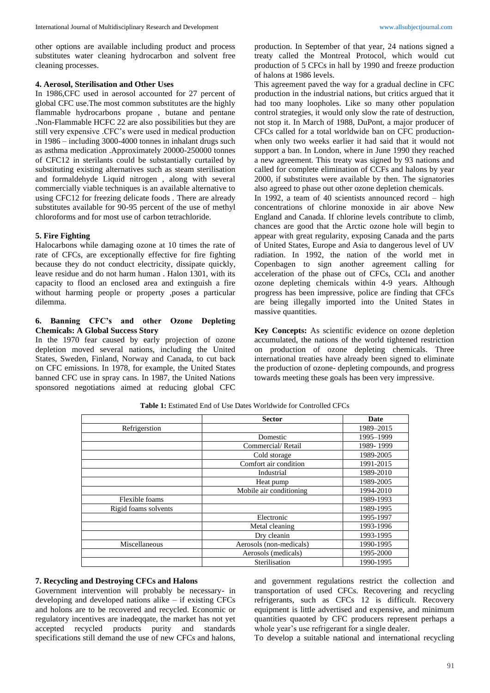other options are available including product and process substitutes water cleaning hydrocarbon and solvent free cleaning processes.

### **4. Aerosol, Sterilisation and Other Uses**

In 1986,CFC used in aerosol accounted for 27 percent of global CFC use.The most common substitutes are the highly flammable hydrocarbons propane , butane and pentane .Non-Flammable HCFC 22 are also possibilities but they are still very expensive .CFC's were used in medical production in 1986 – including 3000-4000 tonnes in inhalant drugs such as asthma medication .Approximately 20000-250000 tonnes of CFC12 in sterilants could be substantially curtailed by substituting existing alternatives such as steam sterilisation and formaldehyde Liquid nitrogen , along with several commercially viable techniques is an available alternative to using CFC12 for freezing delicate foods . There are already substitutes available for 90-95 percent of the use of methyl chloroforms and for most use of carbon tetrachloride.

## **5. Fire Fighting**

Halocarbons while damaging ozone at 10 times the rate of rate of CFCs, are exceptionally effective for fire fighting because they do not conduct electricity, dissipate quickly, leave residue and do not harm human . Halon 1301, with its capacity to flood an enclosed area and extinguish a fire without harming people or property ,poses a particular dilemma.

# **6. Banning CFC's and other Ozone Depleting Chemicals: A Global Success Story**

In the 1970 fear caused by early projection of ozone depletion moved several nations, including the United States, Sweden, Finland, Norway and Canada, to cut back on CFC emissions. In 1978, for example, the United States banned CFC use in spray cans. In 1987, the United Nations sponsored negotiations aimed at reducing global CFC

production. In September of that year, 24 nations signed a treaty called the Montreal Protocol, which would cut production of 5 CFCs in hall by 1990 and freeze production of halons at 1986 levels.

This agreement paved the way for a gradual decline in CFC production in the industrial nations, but critics argued that it had too many loopholes. Like so many other population control strategies, it would only slow the rate of destruction, not stop it. In March of 1988, DuPont, a major producer of CFCs called for a total worldwide ban on CFC productionwhen only two weeks earlier it had said that it would not support a ban. In London, where in June 1990 they reached a new agreement. This treaty was signed by 93 nations and called for complete elimination of CCFs and halons by year 2000, if substitutes were available by then. The signatories also agreed to phase out other ozone depletion chemicals.

In 1992, a team of 40 scientists announced record – high concentrations of chlorine monoxide in air above New England and Canada. If chlorine levels contribute to climb, chances are good that the Arctic ozone hole will begin to appear with great regularity, exposing Canada and the parts of United States, Europe and Asia to dangerous level of UV radiation. In 1992, the nation of the world met in Copenbagen to sign another agreement calling for acceleration of the phase out of CFCs, CCl<sub>4</sub> and another ozone depleting chemicals within 4-9 years. Although progress has been impressive, police are finding that CFCs are being illegally imported into the United States in massive quantities.

**Key Concepts:** As scientific evidence on ozone depletion accumulated, the nations of the world tightened restriction on production of ozone depleting chemicals. Three international treaties have already been signed to eliminate the production of ozone- depleting compounds, and progress towards meeting these goals has been very impressive.

| <b>Table 1:</b> Estimated End of Use Dates Worldwide for Controlled CFCs |  |
|--------------------------------------------------------------------------|--|
|--------------------------------------------------------------------------|--|

|                      | <b>Sector</b>           | Date      |
|----------------------|-------------------------|-----------|
| Refrigerstion        |                         | 1989-2015 |
|                      | Domestic                | 1995-1999 |
|                      | Commercial/Retail       | 1989-1999 |
|                      | Cold storage            | 1989-2005 |
|                      | Comfort air condition   | 1991-2015 |
|                      | Industrial              | 1989-2010 |
|                      | Heat pump               | 1989-2005 |
|                      | Mobile air conditioning | 1994-2010 |
| Flexible foams       |                         | 1989-1993 |
| Rigid foams solvents |                         | 1989-1995 |
|                      | Electronic              | 1995-1997 |
|                      | Metal cleaning          | 1993-1996 |
|                      | Dry cleanin             | 1993-1995 |
| Miscellaneous        | Aerosols (non-medicals) | 1990-1995 |
|                      | Aerosols (medicals)     | 1995-2000 |
|                      | Sterilisation           | 1990-1995 |

## **7. Recycling and Destroying CFCs and Halons**

Government intervention will probably be necessary- in developing and developed nations alike – if existing CFCs and holons are to be recovered and recycled. Economic or regulatory incentives are inadeqqate, the market has not yet accepted recycled products purity and standards specifications still demand the use of new CFCs and halons,

and government regulations restrict the collection and transportation of used CFCs. Recovering and recycling refrigerants, such as CFCs 12 is difficult. Recovery equipment is little advertised and expensive, and minimum quantities quaoted by CFC producers represent perhaps a whole year's use refrigerant for a single dealer.

To develop a suitable national and international recycling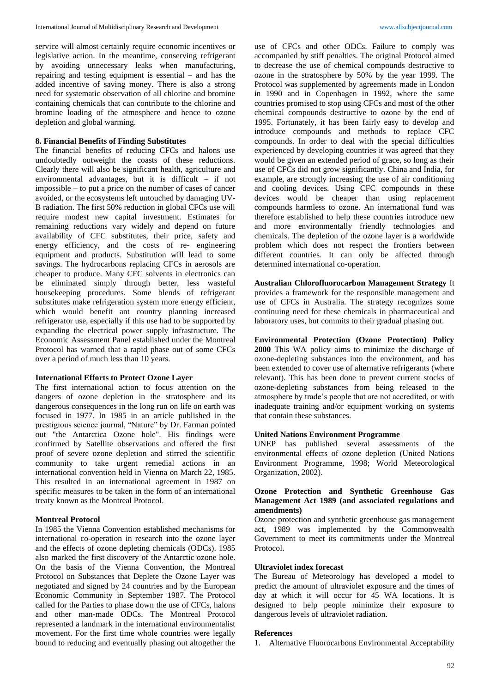service will almost certainly require economic incentives or legislative action. In the meantime, conserving refrigerant by avoiding unnecessary leaks when manufacturing, repairing and testing equipment is essential – and has the added incentive of saving money. There is also a strong need for systematic observation of all chlorine and bromine containing chemicals that can contribute to the chlorine and bromine loading of the atmosphere and hence to ozone depletion and global warming.

## **8. Financial Benefits of Finding Substitutes**

The financial benefits of reducing CFCs and halons use undoubtedly outweight the coasts of these reductions. Clearly there will also be significant health, agriculture and environmental advantages, but it is difficult – if not impossible – to put a price on the number of cases of cancer avoided, or the ecosystems left untouched by damaging UV-B radiation. The first 50% reduction in global CFCs use will require modest new capital investment. Estimates for remaining reductions vary widely and depend on future availability of CFC substitutes, their price, safety and energy efficiency, and the costs of re- engineering equipment and products. Substitution will lead to some savings. The hydrocarbons replacing CFCs in aerosols are cheaper to produce. Many CFC solvents in electronics can be eliminated simply through better, less wasteful housekeeping procedures. Some blends of refrigerant substitutes make refrigeration system more energy efficient, which would benefit ant country planning increased refrigerator use, especially if this use had to be supported by expanding the electrical power supply infrastructure. The Economic Assessment Panel established under the Montreal Protocol has warned that a rapid phase out of some CFCs over a period of much less than 10 years.

## **International Efforts to Protect Ozone Layer**

The first international action to focus attention on the dangers of ozone depletion in the stratosphere and its dangerous consequences in the long run on life on earth was focused in 1977. In 1985 in an article published in the prestigious science journal, "Nature" by Dr. Farman pointed out "the Antarctica Ozone hole". His findings were confirmed by Satellite observations and offered the first proof of severe ozone depletion and stirred the scientific community to take urgent remedial actions in an international convention held in Vienna on March 22, 1985. This resulted in an international agreement in 1987 on specific measures to be taken in the form of an international treaty known as the Montreal Protocol.

## **Montreal Protocol**

In 1985 the Vienna Convention established mechanisms for international co-operation in research into the ozone layer and the effects of ozone depleting chemicals (ODCs). 1985 also marked the first discovery of the Antarctic ozone hole. On the basis of the Vienna Convention, the Montreal Protocol on Substances that Deplete the Ozone Layer was negotiated and signed by 24 countries and by the European Economic Community in September 1987. The Protocol called for the Parties to phase down the use of CFCs, halons and other man-made ODCs. The Montreal Protocol represented a landmark in the international environmentalist movement. For the first time whole countries were legally bound to reducing and eventually phasing out altogether the

use of CFCs and other ODCs. Failure to comply was accompanied by stiff penalties. The original Protocol aimed to decrease the use of chemical compounds destructive to ozone in the stratosphere by 50% by the year 1999. The Protocol was supplemented by agreements made in London in 1990 and in Copenhagen in 1992, where the same countries promised to stop using CFCs and most of the other chemical compounds destructive to ozone by the end of 1995. Fortunately, it has been fairly easy to develop and introduce compounds and methods to replace CFC compounds. In order to deal with the special difficulties experienced by developing countries it was agreed that they would be given an extended period of grace, so long as their use of CFCs did not grow significantly. China and India, for example, are strongly increasing the use of air conditioning and cooling devices. Using CFC compounds in these devices would be cheaper than using replacement compounds harmless to ozone. An international fund was therefore established to help these countries introduce new and more environmentally friendly technologies and chemicals. The depletion of the ozone layer is a worldwide problem which does not respect the frontiers between different countries. It can only be affected through determined international co-operation.

**Australian Chlorofluorocarbon Management Strategy** It provides a framework for the responsible management and use of CFCs in Australia. The strategy recognizes some continuing need for these chemicals in pharmaceutical and laboratory uses, but commits to their gradual phasing out.

**Environmental Protection (Ozone Protection) Policy 2000** This WA policy aims to minimize the discharge of ozone-depleting substances into the environment, and has been extended to cover use of alternative refrigerants (where relevant). This has been done to prevent current stocks of ozone-depleting substances from being released to the atmosphere by trade's people that are not accredited, or with inadequate training and/or equipment working on systems that contain these substances.

## **United Nations Environment Programme**

UNEP has published several assessments of the environmental effects of ozone depletion (United Nations Environment Programme, 1998; World Meteorological Organization, 2002).

## **Ozone Protection and Synthetic Greenhouse Gas Management Act 1989 (and associated regulations and amendments)**

Ozone protection and synthetic greenhouse gas management act, 1989 was implemented by the Commonwealth Government to meet its commitments under the Montreal Protocol.

## **Ultraviolet index forecast**

The Bureau of Meteorology has developed a model to predict the amount of ultraviolet exposure and the times of day at which it will occur for 45 WA locations. It is designed to help people minimize their exposure to dangerous levels of ultraviolet radiation.

## **References**

1. Alternative Fluorocarbons Environmental Acceptability